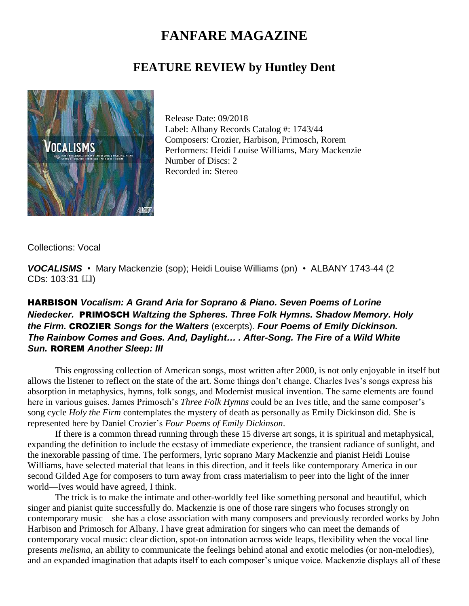## **FANFARE MAGAZINE**

## **FEATURE REVIEW by Huntley Dent**



Release Date: 09/2018 Label: Albany Records Catalog #: 1743/44 Composers: Crozier, Harbison, Primosch, Rorem Performers: Heidi Louise Williams, Mary Mackenzie Number of Discs: 2 Recorded in: Stereo

Collections: Vocal

*VOCALISMS* • Mary Mackenzie (sop); Heidi Louise Williams (pn) • ALBANY 1743-44 (2  $CDs: 103:31$   $[$ 

## HARBISON *Vocalism: A Grand Aria for Soprano & Piano. Seven Poems of Lorine Niedecker.* PRIMOSCH *Waltzing the Spheres. Three Folk Hymns. Shadow Memory. Holy the Firm.* CROZIER *Songs for the Walters* (excerpts). *Four Poems of Emily Dickinson. The Rainbow Comes and Goes. And, Daylight… . After-Song. The Fire of a Wild White Sun.* ROREM *Another Sleep: III*

This engrossing collection of American songs, most written after 2000, is not only enjoyable in itself but allows the listener to reflect on the state of the art. Some things don't change. Charles Ives's songs express his absorption in metaphysics, hymns, folk songs, and Modernist musical invention. The same elements are found here in various guises. James Primosch's *Three Folk Hymns* could be an Ives title, and the same composer's song cycle *Holy the Firm* contemplates the mystery of death as personally as Emily Dickinson did. She is represented here by Daniel Crozier's *Four Poems of Emily Dickinson*.

If there is a common thread running through these 15 diverse art songs, it is spiritual and metaphysical, expanding the definition to include the ecstasy of immediate experience, the transient radiance of sunlight, and the inexorable passing of time. The performers, lyric soprano Mary Mackenzie and pianist Heidi Louise Williams, have selected material that leans in this direction, and it feels like contemporary America in our second Gilded Age for composers to turn away from crass materialism to peer into the light of the inner world—Ives would have agreed, I think.

The trick is to make the intimate and other-worldly feel like something personal and beautiful, which singer and pianist quite successfully do. Mackenzie is one of those rare singers who focuses strongly on contemporary music—she has a close association with many composers and previously recorded works by John Harbison and Primosch for Albany. I have great admiration for singers who can meet the demands of contemporary vocal music: clear diction, spot-on intonation across wide leaps, flexibility when the vocal line presents *melisma*, an ability to communicate the feelings behind atonal and exotic melodies (or non-melodies), and an expanded imagination that adapts itself to each composer's unique voice. Mackenzie displays all of these